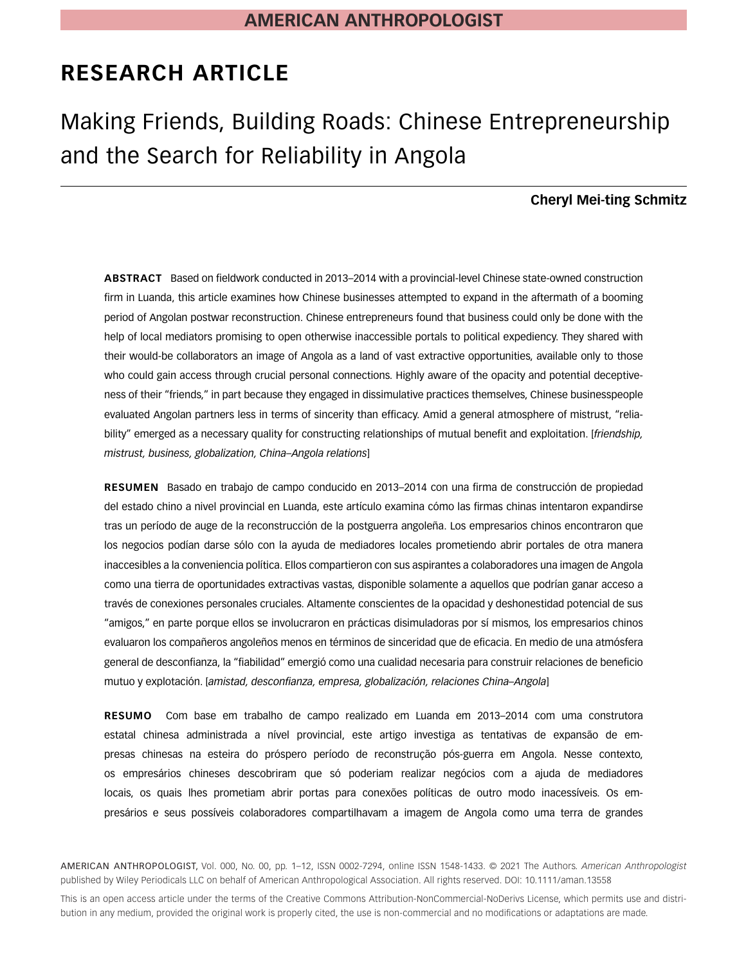# **RESEARCH ARTICLE**

# Making Friends, Building Roads: Chinese Entrepreneurship and the Search for Reliability in Angola

## **Cheryl Mei-ting Schmitz**

**ABSTRACT** Based on fieldwork conducted in 2013–2014 with a provincial-level Chinese state-owned construction firm in Luanda, this article examines how Chinese businesses attempted to expand in the aftermath of a booming period of Angolan postwar reconstruction. Chinese entrepreneurs found that business could only be done with the help of local mediators promising to open otherwise inaccessible portals to political expediency. They shared with their would-be collaborators an image of Angola as a land of vast extractive opportunities, available only to those who could gain access through crucial personal connections. Highly aware of the opacity and potential deceptiveness of their "friends," in part because they engaged in dissimulative practices themselves, Chinese businesspeople evaluated Angolan partners less in terms of sincerity than efficacy. Amid a general atmosphere of mistrust, "reliability" emerged as a necessary quality for constructing relationships of mutual benefit and exploitation. [*friendship, mistrust, business, globalization, China–Angola relations*]

**RESUMEN** Basado en trabajo de campo conducido en 2013–2014 con una firma de construcción de propiedad del estado chino a nivel provincial en Luanda, este artículo examina cómo las firmas chinas intentaron expandirse tras un período de auge de la reconstrucción de la postguerra angoleña. Los empresarios chinos encontraron que los negocios podían darse sólo con la ayuda de mediadores locales prometiendo abrir portales de otra manera inaccesibles a la conveniencia política. Ellos compartieron con sus aspirantes a colaboradores una imagen de Angola como una tierra de oportunidades extractivas vastas, disponible solamente a aquellos que podrían ganar acceso a través de conexiones personales cruciales. Altamente conscientes de la opacidad y deshonestidad potencial de sus "amigos," en parte porque ellos se involucraron en prácticas disimuladoras por sí mismos, los empresarios chinos evaluaron los compañeros angoleños menos en términos de sinceridad que de eficacia. En medio de una atmósfera general de desconfianza, la "fiabilidad" emergió como una cualidad necesaria para construir relaciones de beneficio mutuo y explotación. [*amistad, desconfianza, empresa, globalización, relaciones China–Angola*]

**RESUMO** Com base em trabalho de campo realizado em Luanda em 2013–2014 com uma construtora estatal chinesa administrada a nível provincial, este artigo investiga as tentativas de expansão de empresas chinesas na esteira do próspero período de reconstrução pós-guerra em Angola. Nesse contexto, os empresários chineses descobriram que só poderiam realizar negócios com a ajuda de mediadores locais, os quais lhes prometiam abrir portas para conexões políticas de outro modo inacessíveis. Os empresários e seus possíveis colaboradores compartilhavam a imagem de Angola como uma terra de grandes

AMERICAN ANTHROPOLOGIST, Vol. 000, No. 00, pp. 1–12, ISSN 0002-7294, online ISSN 1548-1433. © 2021 The Authors. *American Anthropologist* published by Wiley Periodicals LLC on behalf of American Anthropological Association. All rights reserved. DOI: 10.1111/aman.13558

This is an open access article under the terms of the [Creative Commons Attribution-NonCommercial-NoDerivs](http://creativecommons.org/licenses/by-nc-nd/4.0/) License, which permits use and distribution in any medium, provided the original work is properly cited, the use is non-commercial and no modifications or adaptations are made.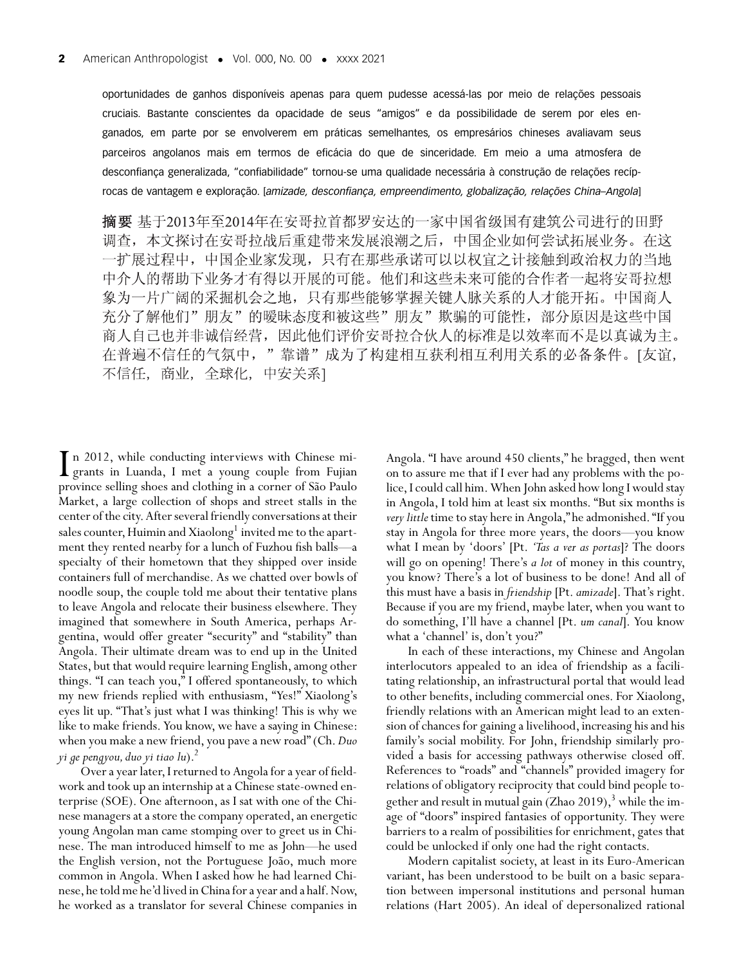oportunidades de ganhos disponíveis apenas para quem pudesse acessá-las por meio de relações pessoais cruciais. Bastante conscientes da opacidade de seus "amigos" e da possibilidade de serem por eles enganados, em parte por se envolverem em práticas semelhantes, os empresários chineses avaliavam seus parceiros angolanos mais em termos de eficácia do que de sinceridade. Em meio a uma atmosfera de desconfiança generalizada, "confiabilidade" tornou-se uma qualidade necessária à construção de relações recíprocas de vantagem e exploração. [*amizade, desconfiança, empreendimento, globalização, relações China–Angola*]

摘要 基于2013年至2014年在安哥拉首都罗安达的一家中国省级国有建筑公司进行的田野 调查, 本文探讨在安哥拉战后重建带来发展浪潮之后, 中国企业如何尝试拓展业务。在这 一扩展过程中, 中国企业家发现, 只有在那些承诺可以以权宜之计接触到政治权力的当地 中介人的帮助下业务才有得以开展的可能。他们和这些未来可能的合作者一起将安哥拉想 象为一片广阔的采掘机会之地,只有那些能够掌握关键人脉关系的人才能开拓。中国商人 充分了解他们"朋友"的暧昧态度和被这些"朋友"欺骗的可能性,部分原因是这些中国 商人自己也并非诚信经营,因此他们评价安哥拉合伙人的标准是以效率而不是以真诚为主。 在普遍不信任的气氛中,"靠谱"成为了构建相互获利相互利用关系的必备条件。[友谊, 不信任,商业,全球化,中安关系]

I<sub>pr</sub> n 2012, while conducting interviews with Chinese migrants in Luanda, I met a young couple from Fujian province selling shoes and clothing in a corner of São Paulo Market, a large collection of shops and street stalls in the center of the city.After several friendly conversations at their sales counter, Huimin and Xiaolong<sup>1</sup> invited me to the apartment they rented nearby for a lunch of Fuzhou fish balls—a specialty of their hometown that they shipped over inside containers full of merchandise. As we chatted over bowls of noodle soup, the couple told me about their tentative plans to leave Angola and relocate their business elsewhere. They imagined that somewhere in South America, perhaps Argentina, would offer greater "security" and "stability" than Angola. Their ultimate dream was to end up in the United States, but that would require learning English, among other things. "I can teach you," I offered spontaneously, to which my new friends replied with enthusiasm, "Yes!" Xiaolong's eyes lit up. "That's just what I was thinking! This is why we like to make friends. You know, we have a saying in Chinese: when you make a new friend, you pave a new road" (Ch.*Duo yi ge pengyou, duo yi tiao lu*).2

Over a year later,I returned to Angola for a year of fieldwork and took up an internship at a Chinese state-owned enterprise (SOE). One afternoon, as I sat with one of the Chinese managers at a store the company operated, an energetic young Angolan man came stomping over to greet us in Chinese. The man introduced himself to me as John—he used the English version, not the Portuguese João, much more common in Angola. When I asked how he had learned Chinese, he told me he'd lived in China for a year and a half. Now, he worked as a translator for several Chinese companies in Angola. "I have around 450 clients," he bragged, then went on to assure me that if I ever had any problems with the police,I could call him.When John asked how long I would stay in Angola, I told him at least six months. "But six months is *very little* time to stay here in Angola," he admonished. "If you stay in Angola for three more years, the doors—you know what I mean by 'doors' [Pt. *'Tas a ver as portas*]? The doors will go on opening! There's *a lot* of money in this country, you know? There's a lot of business to be done! And all of this must have a basis in *friendship* [Pt.*amizade*]. That's right. Because if you are my friend, maybe later, when you want to do something, I'll have a channel [Pt. *um canal*]. You know what a 'channel' is, don't you?"

In each of these interactions, my Chinese and Angolan interlocutors appealed to an idea of friendship as a facilitating relationship, an infrastructural portal that would lead to other benefits, including commercial ones. For Xiaolong, friendly relations with an American might lead to an extension of chances for gaining a livelihood, increasing his and his family's social mobility. For John, friendship similarly provided a basis for accessing pathways otherwise closed off. References to "roads" and "channels" provided imagery for relations of obligatory reciprocity that could bind people together and result in mutual gain (Zhao 2019),<sup>3</sup> while the image of "doors" inspired fantasies of opportunity. They were barriers to a realm of possibilities for enrichment, gates that could be unlocked if only one had the right contacts.

Modern capitalist society, at least in its Euro-American variant, has been understood to be built on a basic separation between impersonal institutions and personal human relations (Hart 2005). An ideal of depersonalized rational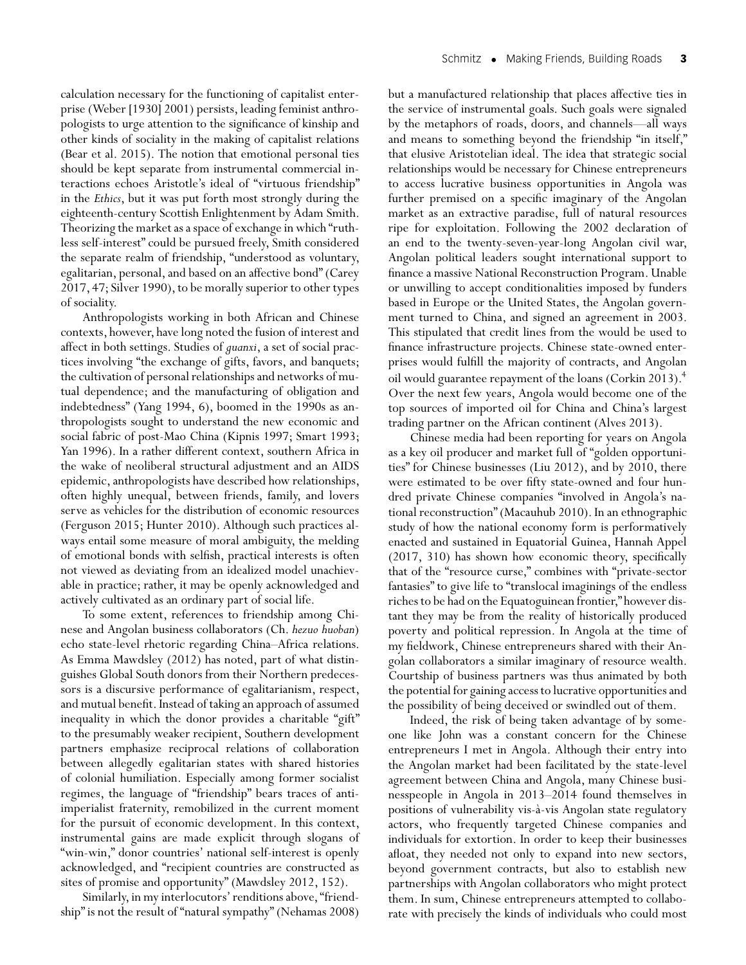pologists to urge attention to the significance of kinship and other kinds of sociality in the making of capitalist relations (Bear et al. 2015). The notion that emotional personal ties should be kept separate from instrumental commercial interactions echoes Aristotle's ideal of "virtuous friendship" in the *Ethics*, but it was put forth most strongly during the eighteenth-century Scottish Enlightenment by Adam Smith. Theorizing the market as a space of exchange in which "ruthless self-interest" could be pursued freely, Smith considered the separate realm of friendship, "understood as voluntary, egalitarian, personal, and based on an affective bond" (Carey 2017, 47; Silver 1990), to be morally superior to other types of sociality.

Anthropologists working in both African and Chinese contexts, however, have long noted the fusion of interest and affect in both settings. Studies of *guanxi*, a set of social practices involving "the exchange of gifts, favors, and banquets; the cultivation of personal relationships and networks of mutual dependence; and the manufacturing of obligation and indebtedness" (Yang 1994, 6), boomed in the 1990s as anthropologists sought to understand the new economic and social fabric of post-Mao China (Kipnis 1997; Smart 1993; Yan 1996). In a rather different context, southern Africa in the wake of neoliberal structural adjustment and an AIDS epidemic, anthropologists have described how relationships, often highly unequal, between friends, family, and lovers serve as vehicles for the distribution of economic resources (Ferguson 2015; Hunter 2010). Although such practices always entail some measure of moral ambiguity, the melding of emotional bonds with selfish, practical interests is often not viewed as deviating from an idealized model unachievable in practice; rather, it may be openly acknowledged and actively cultivated as an ordinary part of social life.

To some extent, references to friendship among Chinese and Angolan business collaborators (Ch. *hezuo huoban*) echo state-level rhetoric regarding China–Africa relations. As Emma Mawdsley (2012) has noted, part of what distinguishes Global South donors from their Northern predecessors is a discursive performance of egalitarianism, respect, and mutual benefit. Instead of taking an approach of assumed inequality in which the donor provides a charitable "gift" to the presumably weaker recipient, Southern development partners emphasize reciprocal relations of collaboration between allegedly egalitarian states with shared histories of colonial humiliation. Especially among former socialist regimes, the language of "friendship" bears traces of antiimperialist fraternity, remobilized in the current moment for the pursuit of economic development. In this context, instrumental gains are made explicit through slogans of "win-win," donor countries' national self-interest is openly acknowledged, and "recipient countries are constructed as sites of promise and opportunity" (Mawdsley 2012, 152).

Similarly, in my interlocutors' renditions above, "friendship" is not the result of "natural sympathy" (Nehamas 2008) but a manufactured relationship that places affective ties in the service of instrumental goals. Such goals were signaled by the metaphors of roads, doors, and channels—all ways and means to something beyond the friendship "in itself," that elusive Aristotelian ideal. The idea that strategic social relationships would be necessary for Chinese entrepreneurs to access lucrative business opportunities in Angola was further premised on a specific imaginary of the Angolan market as an extractive paradise, full of natural resources ripe for exploitation. Following the 2002 declaration of an end to the twenty-seven-year-long Angolan civil war, Angolan political leaders sought international support to finance a massive National Reconstruction Program. Unable or unwilling to accept conditionalities imposed by funders based in Europe or the United States, the Angolan government turned to China, and signed an agreement in 2003. This stipulated that credit lines from the would be used to finance infrastructure projects. Chinese state-owned enterprises would fulfill the majority of contracts, and Angolan oil would guarantee repayment of the loans (Corkin 2013).<sup>4</sup> Over the next few years, Angola would become one of the top sources of imported oil for China and China's largest trading partner on the African continent (Alves 2013).

Chinese media had been reporting for years on Angola as a key oil producer and market full of "golden opportunities" for Chinese businesses (Liu 2012), and by 2010, there were estimated to be over fifty state-owned and four hundred private Chinese companies "involved in Angola's national reconstruction" (Macauhub 2010). In an ethnographic study of how the national economy form is performatively enacted and sustained in Equatorial Guinea, Hannah Appel (2017, 310) has shown how economic theory, specifically that of the "resource curse," combines with "private-sector fantasies" to give life to "translocal imaginings of the endless riches to be had on the Equatoguinean frontier," however distant they may be from the reality of historically produced poverty and political repression. In Angola at the time of my fieldwork, Chinese entrepreneurs shared with their Angolan collaborators a similar imaginary of resource wealth. Courtship of business partners was thus animated by both the potential for gaining access to lucrative opportunities and the possibility of being deceived or swindled out of them.

Indeed, the risk of being taken advantage of by someone like John was a constant concern for the Chinese entrepreneurs I met in Angola. Although their entry into the Angolan market had been facilitated by the state-level agreement between China and Angola, many Chinese businesspeople in Angola in 2013–2014 found themselves in positions of vulnerability vis-à-vis Angolan state regulatory actors, who frequently targeted Chinese companies and individuals for extortion. In order to keep their businesses afloat, they needed not only to expand into new sectors, beyond government contracts, but also to establish new partnerships with Angolan collaborators who might protect them. In sum, Chinese entrepreneurs attempted to collaborate with precisely the kinds of individuals who could most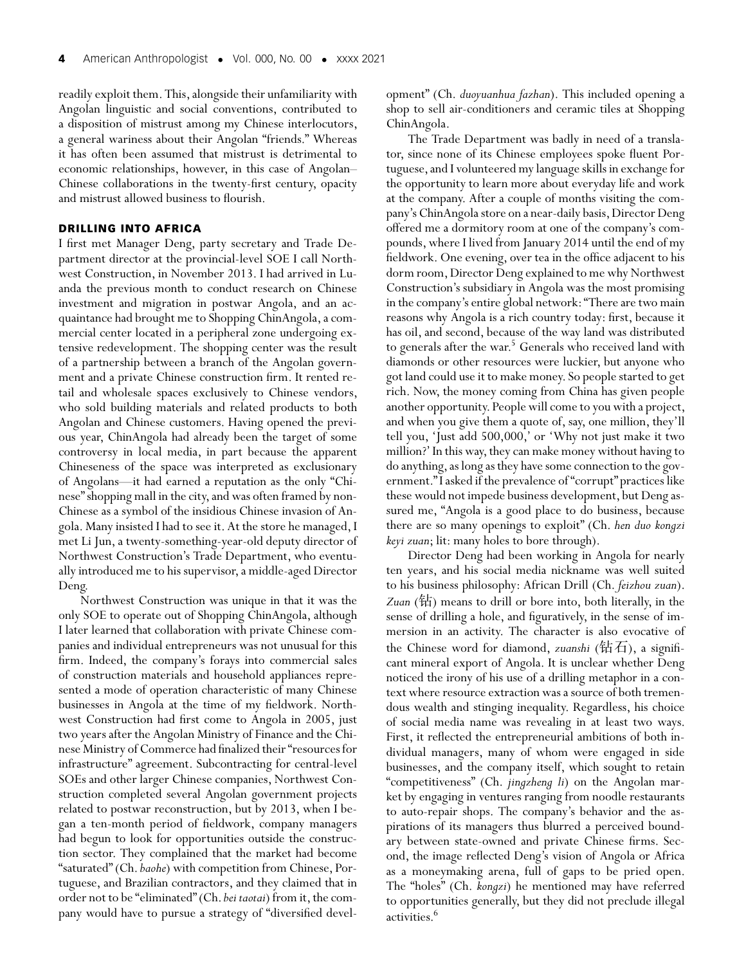readily exploit them. This, alongside their unfamiliarity with Angolan linguistic and social conventions, contributed to a disposition of mistrust among my Chinese interlocutors, a general wariness about their Angolan "friends." Whereas it has often been assumed that mistrust is detrimental to economic relationships, however, in this case of Angolan– Chinese collaborations in the twenty-first century, opacity and mistrust allowed business to flourish.

### **DRILLING INTO AFRICA**

I first met Manager Deng, party secretary and Trade Department director at the provincial-level SOE I call Northwest Construction, in November 2013. I had arrived in Luanda the previous month to conduct research on Chinese investment and migration in postwar Angola, and an acquaintance had brought me to Shopping ChinAngola, a commercial center located in a peripheral zone undergoing extensive redevelopment. The shopping center was the result of a partnership between a branch of the Angolan government and a private Chinese construction firm. It rented retail and wholesale spaces exclusively to Chinese vendors, who sold building materials and related products to both Angolan and Chinese customers. Having opened the previous year, ChinAngola had already been the target of some controversy in local media, in part because the apparent Chineseness of the space was interpreted as exclusionary of Angolans—it had earned a reputation as the only "Chinese" shopping mall in the city, and was often framed by non-Chinese as a symbol of the insidious Chinese invasion of Angola. Many insisted I had to see it. At the store he managed, I met Li Jun, a twenty-something-year-old deputy director of Northwest Construction's Trade Department, who eventually introduced me to his supervisor, a middle-aged Director Deng.

Northwest Construction was unique in that it was the only SOE to operate out of Shopping ChinAngola, although I later learned that collaboration with private Chinese companies and individual entrepreneurs was not unusual for this firm. Indeed, the company's forays into commercial sales of construction materials and household appliances represented a mode of operation characteristic of many Chinese businesses in Angola at the time of my fieldwork. Northwest Construction had first come to Angola in 2005, just two years after the Angolan Ministry of Finance and the Chinese Ministry of Commerce had finalized their "resources for infrastructure" agreement. Subcontracting for central-level SOEs and other larger Chinese companies, Northwest Construction completed several Angolan government projects related to postwar reconstruction, but by 2013, when I began a ten-month period of fieldwork, company managers had begun to look for opportunities outside the construction sector. They complained that the market had become "saturated" (Ch.*baohe*) with competition from Chinese, Portuguese, and Brazilian contractors, and they claimed that in order not to be "eliminated" (Ch. bei taotai) from it, the company would have to pursue a strategy of "diversified development" (Ch. *duoyuanhua fazhan*). This included opening a shop to sell air-conditioners and ceramic tiles at Shopping ChinAngola.

The Trade Department was badly in need of a translator, since none of its Chinese employees spoke fluent Portuguese, and I volunteered my language skills in exchange for the opportunity to learn more about everyday life and work at the company. After a couple of months visiting the company's ChinAngola store on a near-daily basis, Director Deng offered me a dormitory room at one of the company's compounds, where I lived from January 2014 until the end of my fieldwork. One evening, over tea in the office adjacent to his dorm room, Director Deng explained to me why Northwest Construction's subsidiary in Angola was the most promising in the company's entire global network: "There are two main reasons why Angola is a rich country today: first, because it has oil, and second, because of the way land was distributed to generals after the war.<sup>5</sup> Generals who received land with diamonds or other resources were luckier, but anyone who got land could use it to make money. So people started to get rich. Now, the money coming from China has given people another opportunity. People will come to you with a project, and when you give them a quote of, say, one million, they'll tell you, 'Just add 500,000,' or 'Why not just make it two million?' In this way, they can make money without having to do anything, as long as they have some connection to the government."I asked if the prevalence of "corrupt" practices like these would not impede business development, but Deng assured me, "Angola is a good place to do business, because there are so many openings to exploit" (Ch. *hen duo kongzi keyi zuan*; lit: many holes to bore through).

Director Deng had been working in Angola for nearly ten years, and his social media nickname was well suited to his business philosophy: African Drill (Ch. *feizhou zuan*). Zuan (钻) means to drill or bore into, both literally, in the sense of drilling a hole, and figuratively, in the sense of immersion in an activity. The character is also evocative of the Chinese word for diamond, *zuanshi* (钻石), a significant mineral export of Angola. It is unclear whether Deng noticed the irony of his use of a drilling metaphor in a context where resource extraction was a source of both tremendous wealth and stinging inequality. Regardless, his choice of social media name was revealing in at least two ways. First, it reflected the entrepreneurial ambitions of both individual managers, many of whom were engaged in side businesses, and the company itself, which sought to retain "competitiveness" (Ch. *jingzheng li*) on the Angolan market by engaging in ventures ranging from noodle restaurants to auto-repair shops. The company's behavior and the aspirations of its managers thus blurred a perceived boundary between state-owned and private Chinese firms. Second, the image reflected Deng's vision of Angola or Africa as a moneymaking arena, full of gaps to be pried open. The "holes" (Ch. *kongzi*) he mentioned may have referred to opportunities generally, but they did not preclude illegal activities.<sup>6</sup>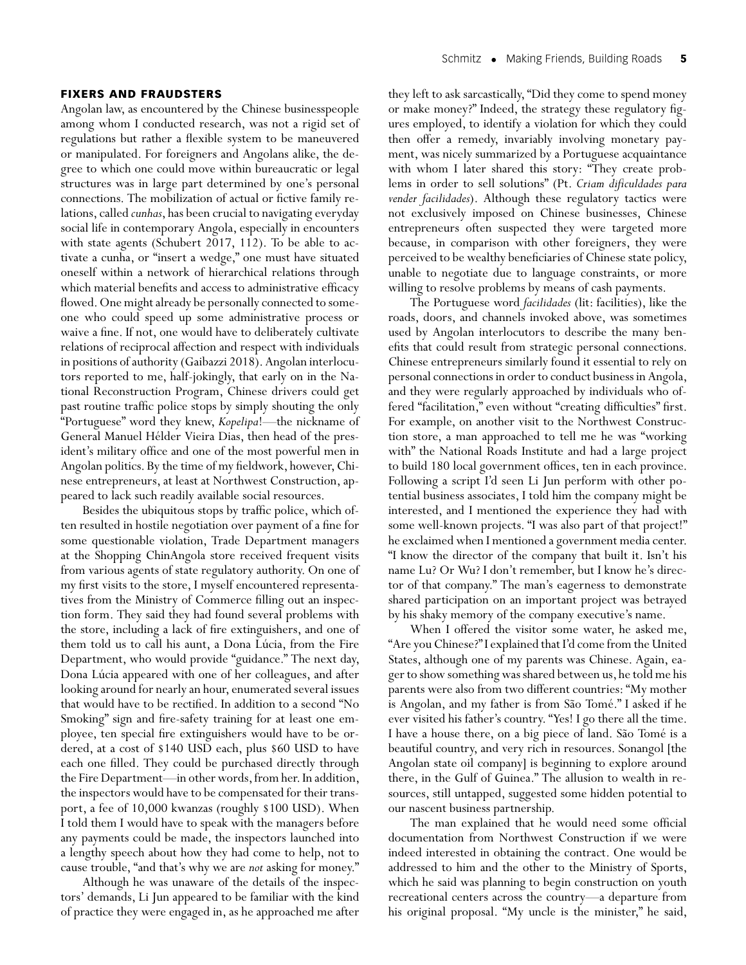#### **FIXERS AND FRAUDSTERS**

Angolan law, as encountered by the Chinese businesspeople among whom I conducted research, was not a rigid set of regulations but rather a flexible system to be maneuvered or manipulated. For foreigners and Angolans alike, the degree to which one could move within bureaucratic or legal structures was in large part determined by one's personal connections. The mobilization of actual or fictive family relations, called *cunhas*, has been crucial to navigating everyday social life in contemporary Angola, especially in encounters with state agents (Schubert 2017, 112). To be able to activate a cunha, or "insert a wedge," one must have situated oneself within a network of hierarchical relations through which material benefits and access to administrative efficacy flowed. One might already be personally connected to someone who could speed up some administrative process or waive a fine. If not, one would have to deliberately cultivate relations of reciprocal affection and respect with individuals in positions of authority (Gaibazzi 2018). Angolan interlocutors reported to me, half-jokingly, that early on in the National Reconstruction Program, Chinese drivers could get past routine traffic police stops by simply shouting the only "Portuguese" word they knew, *Kopelipa*!—the nickname of General Manuel Hélder Vieira Dias, then head of the president's military office and one of the most powerful men in Angolan politics. By the time of my fieldwork, however, Chinese entrepreneurs, at least at Northwest Construction, appeared to lack such readily available social resources.

Besides the ubiquitous stops by traffic police, which often resulted in hostile negotiation over payment of a fine for some questionable violation, Trade Department managers at the Shopping ChinAngola store received frequent visits from various agents of state regulatory authority. On one of my first visits to the store, I myself encountered representatives from the Ministry of Commerce filling out an inspection form. They said they had found several problems with the store, including a lack of fire extinguishers, and one of them told us to call his aunt, a Dona Lúcia, from the Fire Department, who would provide "guidance." The next day, Dona Lúcia appeared with one of her colleagues, and after looking around for nearly an hour, enumerated several issues that would have to be rectified. In addition to a second "No Smoking" sign and fire-safety training for at least one employee, ten special fire extinguishers would have to be ordered, at a cost of \$140 USD each, plus \$60 USD to have each one filled. They could be purchased directly through the Fire Department—in other words, from her. In addition, the inspectors would have to be compensated for their transport, a fee of 10,000 kwanzas (roughly \$100 USD). When I told them I would have to speak with the managers before any payments could be made, the inspectors launched into a lengthy speech about how they had come to help, not to cause trouble, "and that's why we are *not* asking for money."

Although he was unaware of the details of the inspectors' demands, Li Jun appeared to be familiar with the kind of practice they were engaged in, as he approached me after they left to ask sarcastically, "Did they come to spend money or make money?" Indeed, the strategy these regulatory figures employed, to identify a violation for which they could then offer a remedy, invariably involving monetary payment, was nicely summarized by a Portuguese acquaintance with whom I later shared this story: "They create problems in order to sell solutions" (Pt. *Criam dificuldades para vender facilidades*). Although these regulatory tactics were not exclusively imposed on Chinese businesses, Chinese entrepreneurs often suspected they were targeted more because, in comparison with other foreigners, they were perceived to be wealthy beneficiaries of Chinese state policy, unable to negotiate due to language constraints, or more willing to resolve problems by means of cash payments.

The Portuguese word *facilidades* (lit: facilities), like the roads, doors, and channels invoked above, was sometimes used by Angolan interlocutors to describe the many benefits that could result from strategic personal connections. Chinese entrepreneurs similarly found it essential to rely on personal connections in order to conduct business in Angola, and they were regularly approached by individuals who offered "facilitation," even without "creating difficulties" first. For example, on another visit to the Northwest Construction store, a man approached to tell me he was "working with" the National Roads Institute and had a large project to build 180 local government offices, ten in each province. Following a script I'd seen Li Jun perform with other potential business associates, I told him the company might be interested, and I mentioned the experience they had with some well-known projects. "I was also part of that project!" he exclaimed when I mentioned a government media center. "I know the director of the company that built it. Isn't his name Lu? Or Wu? I don't remember, but I know he's director of that company." The man's eagerness to demonstrate shared participation on an important project was betrayed by his shaky memory of the company executive's name.

When I offered the visitor some water, he asked me, "Are you Chinese?"I explained that I'd come from the United States, although one of my parents was Chinese. Again, eager to show something was shared between us, he told me his parents were also from two different countries: "My mother is Angolan, and my father is from São Tomé." I asked if he ever visited his father's country. "Yes! I go there all the time. I have a house there, on a big piece of land. São Tomé is a beautiful country, and very rich in resources. Sonangol [the Angolan state oil company] is beginning to explore around there, in the Gulf of Guinea." The allusion to wealth in resources, still untapped, suggested some hidden potential to our nascent business partnership.

The man explained that he would need some official documentation from Northwest Construction if we were indeed interested in obtaining the contract. One would be addressed to him and the other to the Ministry of Sports, which he said was planning to begin construction on youth recreational centers across the country—a departure from his original proposal. "My uncle is the minister," he said,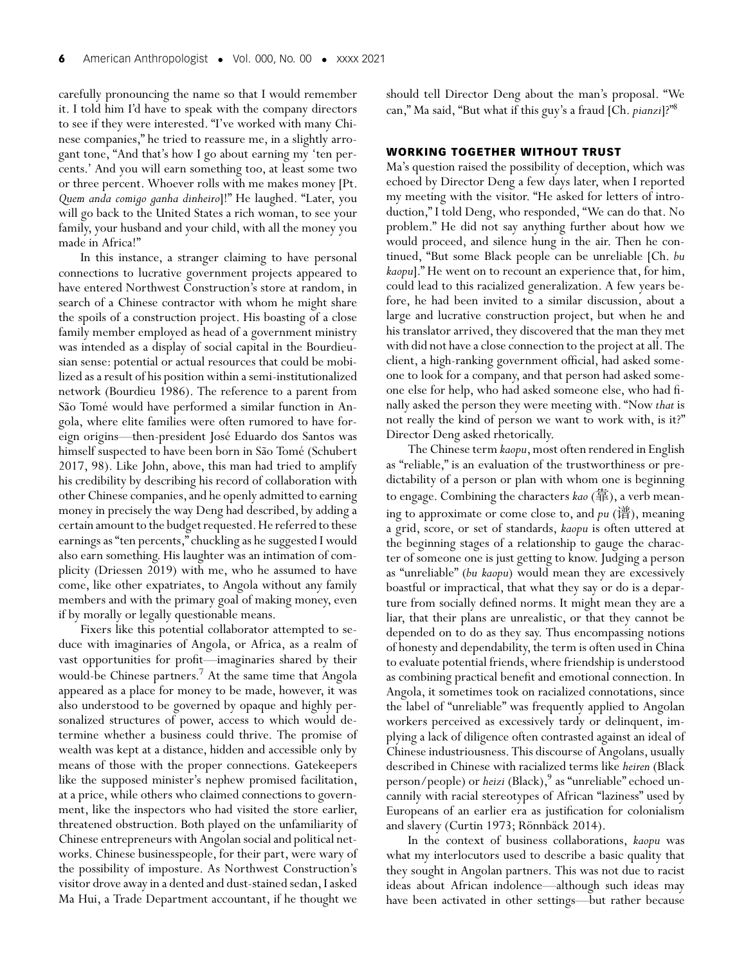carefully pronouncing the name so that I would remember it. I told him I'd have to speak with the company directors to see if they were interested. "I've worked with many Chinese companies," he tried to reassure me, in a slightly arrogant tone, "And that's how I go about earning my 'ten percents.' And you will earn something too, at least some two or three percent. Whoever rolls with me makes money [Pt. *Quem anda comigo ganha dinheiro*]!" He laughed. "Later, you will go back to the United States a rich woman, to see your family, your husband and your child, with all the money you made in Africa!"

In this instance, a stranger claiming to have personal connections to lucrative government projects appeared to have entered Northwest Construction's store at random, in search of a Chinese contractor with whom he might share the spoils of a construction project. His boasting of a close family member employed as head of a government ministry was intended as a display of social capital in the Bourdieusian sense: potential or actual resources that could be mobilized as a result of his position within a semi-institutionalized network (Bourdieu 1986). The reference to a parent from São Tomé would have performed a similar function in Angola, where elite families were often rumored to have foreign origins—then-president José Eduardo dos Santos was himself suspected to have been born in São Tomé (Schubert 2017, 98). Like John, above, this man had tried to amplify his credibility by describing his record of collaboration with other Chinese companies, and he openly admitted to earning money in precisely the way Deng had described, by adding a certain amount to the budget requested.He referred to these earnings as "ten percents," chuckling as he suggested I would also earn something. His laughter was an intimation of complicity (Driessen 2019) with me, who he assumed to have come, like other expatriates, to Angola without any family members and with the primary goal of making money, even if by morally or legally questionable means.

Fixers like this potential collaborator attempted to seduce with imaginaries of Angola, or Africa, as a realm of vast opportunities for profit—imaginaries shared by their would-be Chinese partners.7 At the same time that Angola appeared as a place for money to be made, however, it was also understood to be governed by opaque and highly personalized structures of power, access to which would determine whether a business could thrive. The promise of wealth was kept at a distance, hidden and accessible only by means of those with the proper connections. Gatekeepers like the supposed minister's nephew promised facilitation, at a price, while others who claimed connections to government, like the inspectors who had visited the store earlier, threatened obstruction. Both played on the unfamiliarity of Chinese entrepreneurs with Angolan social and political networks. Chinese businesspeople, for their part, were wary of the possibility of imposture. As Northwest Construction's visitor drove away in a dented and dust-stained sedan, I asked Ma Hui, a Trade Department accountant, if he thought we should tell Director Deng about the man's proposal. "We can," Ma said, "But what if this guy's a fraud [Ch.*pianzi*]?"8

#### **WORKING TOGETHER WITHOUT TRUST**

Ma's question raised the possibility of deception, which was echoed by Director Deng a few days later, when I reported my meeting with the visitor. "He asked for letters of introduction," I told Deng, who responded, "We can do that. No problem." He did not say anything further about how we would proceed, and silence hung in the air. Then he continued, "But some Black people can be unreliable [Ch. *bu kaopu*]." He went on to recount an experience that, for him, could lead to this racialized generalization. A few years before, he had been invited to a similar discussion, about a large and lucrative construction project, but when he and his translator arrived, they discovered that the man they met with did not have a close connection to the project at all. The client, a high-ranking government official, had asked someone to look for a company, and that person had asked someone else for help, who had asked someone else, who had finally asked the person they were meeting with. "Now *that* is not really the kind of person we want to work with, is it?" Director Deng asked rhetorically.

The Chinese term *kaopu*, most often rendered in English as "reliable," is an evaluation of the trustworthiness or predictability of a person or plan with whom one is beginning to engage. Combining the characters *kao* (靠), a verb meaning to approximate or come close to, and  $p$ u (谱), meaning a grid, score, or set of standards, *kaopu* is often uttered at the beginning stages of a relationship to gauge the character of someone one is just getting to know. Judging a person as "unreliable" (*bu kaopu*) would mean they are excessively boastful or impractical, that what they say or do is a departure from socially defined norms. It might mean they are a liar, that their plans are unrealistic, or that they cannot be depended on to do as they say. Thus encompassing notions of honesty and dependability, the term is often used in China to evaluate potential friends, where friendship is understood as combining practical benefit and emotional connection. In Angola, it sometimes took on racialized connotations, since the label of "unreliable" was frequently applied to Angolan workers perceived as excessively tardy or delinquent, implying a lack of diligence often contrasted against an ideal of Chinese industriousness. This discourse of Angolans, usually described in Chinese with racialized terms like *heiren* (Black person/people) or *heizi* (Black),<sup>9</sup> as "unreliable" echoed uncannily with racial stereotypes of African "laziness" used by Europeans of an earlier era as justification for colonialism and slavery (Curtin 1973; Rönnbäck 2014).

In the context of business collaborations, *kaopu* was what my interlocutors used to describe a basic quality that they sought in Angolan partners. This was not due to racist ideas about African indolence—although such ideas may have been activated in other settings—but rather because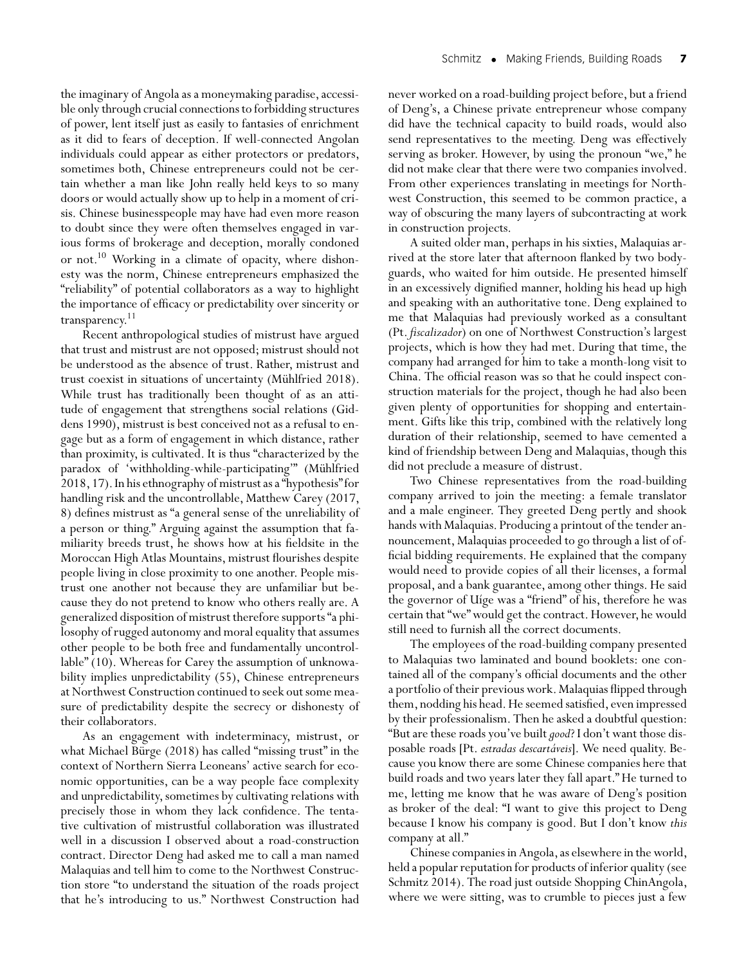the imaginary of Angola as a moneymaking paradise, accessible only through crucial connections to forbidding structures of power, lent itself just as easily to fantasies of enrichment as it did to fears of deception. If well-connected Angolan individuals could appear as either protectors or predators, sometimes both, Chinese entrepreneurs could not be certain whether a man like John really held keys to so many doors or would actually show up to help in a moment of crisis. Chinese businesspeople may have had even more reason to doubt since they were often themselves engaged in various forms of brokerage and deception, morally condoned or not.<sup>10</sup> Working in a climate of opacity, where dishonesty was the norm, Chinese entrepreneurs emphasized the "reliability" of potential collaborators as a way to highlight the importance of efficacy or predictability over sincerity or transparency.11

Recent anthropological studies of mistrust have argued that trust and mistrust are not opposed; mistrust should not be understood as the absence of trust. Rather, mistrust and trust coexist in situations of uncertainty (Mühlfried 2018). While trust has traditionally been thought of as an attitude of engagement that strengthens social relations (Giddens 1990), mistrust is best conceived not as a refusal to engage but as a form of engagement in which distance, rather than proximity, is cultivated. It is thus "characterized by the paradox of 'withholding-while-participating'" (Mühlfried 2018,17).In his ethnography of mistrust as a "hypothesis"for handling risk and the uncontrollable, Matthew Carey (2017, 8) defines mistrust as "a general sense of the unreliability of a person or thing." Arguing against the assumption that familiarity breeds trust, he shows how at his fieldsite in the Moroccan High Atlas Mountains, mistrust flourishes despite people living in close proximity to one another. People mistrust one another not because they are unfamiliar but because they do not pretend to know who others really are. A generalized disposition of mistrust therefore supports "a philosophy of rugged autonomy and moral equality that assumes other people to be both free and fundamentally uncontrollable" (10). Whereas for Carey the assumption of unknowability implies unpredictability (55), Chinese entrepreneurs at Northwest Construction continued to seek out some measure of predictability despite the secrecy or dishonesty of their collaborators.

As an engagement with indeterminacy, mistrust, or what Michael Bürge (2018) has called "missing trust" in the context of Northern Sierra Leoneans' active search for economic opportunities, can be a way people face complexity and unpredictability, sometimes by cultivating relations with precisely those in whom they lack confidence. The tentative cultivation of mistrustful collaboration was illustrated well in a discussion I observed about a road-construction contract. Director Deng had asked me to call a man named Malaquias and tell him to come to the Northwest Construction store "to understand the situation of the roads project that he's introducing to us." Northwest Construction had

never worked on a road-building project before, but a friend of Deng's, a Chinese private entrepreneur whose company did have the technical capacity to build roads, would also send representatives to the meeting. Deng was effectively serving as broker. However, by using the pronoun "we," he did not make clear that there were two companies involved. From other experiences translating in meetings for Northwest Construction, this seemed to be common practice, a way of obscuring the many layers of subcontracting at work in construction projects.

A suited older man, perhaps in his sixties, Malaquias arrived at the store later that afternoon flanked by two bodyguards, who waited for him outside. He presented himself in an excessively dignified manner, holding his head up high and speaking with an authoritative tone. Deng explained to me that Malaquias had previously worked as a consultant (Pt. *fiscalizador*) on one of Northwest Construction's largest projects, which is how they had met. During that time, the company had arranged for him to take a month-long visit to China. The official reason was so that he could inspect construction materials for the project, though he had also been given plenty of opportunities for shopping and entertainment. Gifts like this trip, combined with the relatively long duration of their relationship, seemed to have cemented a kind of friendship between Deng and Malaquias, though this did not preclude a measure of distrust.

Two Chinese representatives from the road-building company arrived to join the meeting: a female translator and a male engineer. They greeted Deng pertly and shook hands with Malaquias. Producing a printout of the tender announcement, Malaquias proceeded to go through a list of official bidding requirements. He explained that the company would need to provide copies of all their licenses, a formal proposal, and a bank guarantee, among other things. He said the governor of Uíge was a "friend" of his, therefore he was certain that "we" would get the contract. However, he would still need to furnish all the correct documents.

The employees of the road-building company presented to Malaquias two laminated and bound booklets: one contained all of the company's official documents and the other a portfolio of their previous work. Malaquias flipped through them, nodding his head.He seemed satisfied, even impressed by their professionalism. Then he asked a doubtful question: "But are these roads you've built*good*? I don't want those disposable roads [Pt. *estradas descartáveis*]. We need quality. Because you know there are some Chinese companies here that build roads and two years later they fall apart." He turned to me, letting me know that he was aware of Deng's position as broker of the deal: "I want to give this project to Deng because I know his company is good. But I don't know *this* company at all."

Chinese companies in Angola, as elsewhere in the world, held a popular reputation for products of inferior quality (see Schmitz 2014). The road just outside Shopping ChinAngola, where we were sitting, was to crumble to pieces just a few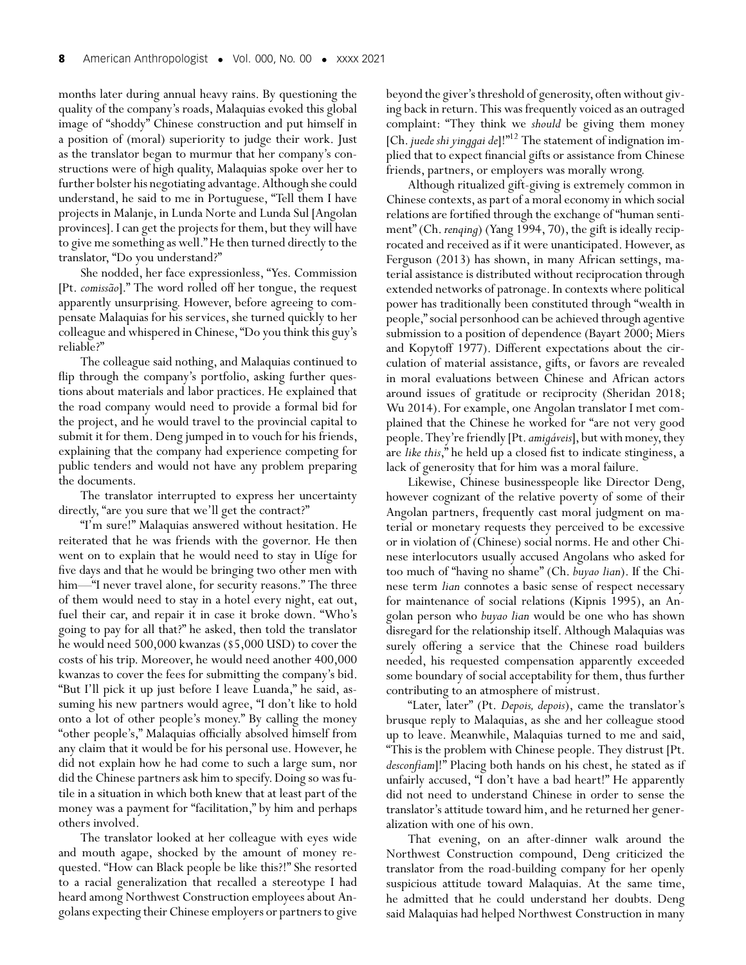months later during annual heavy rains. By questioning the quality of the company's roads, Malaquias evoked this global image of "shoddy" Chinese construction and put himself in a position of (moral) superiority to judge their work. Just as the translator began to murmur that her company's constructions were of high quality, Malaquias spoke over her to further bolster his negotiating advantage.Although she could understand, he said to me in Portuguese, "Tell them I have projects in Malanje, in Lunda Norte and Lunda Sul [Angolan provinces]. I can get the projects for them, but they will have to give me something as well."He then turned directly to the translator, "Do you understand?"

She nodded, her face expressionless, "Yes. Commission [Pt. *comissão*]." The word rolled off her tongue, the request apparently unsurprising. However, before agreeing to compensate Malaquias for his services, she turned quickly to her colleague and whispered in Chinese, "Do you think this guy's reliable?"

The colleague said nothing, and Malaquias continued to flip through the company's portfolio, asking further questions about materials and labor practices. He explained that the road company would need to provide a formal bid for the project, and he would travel to the provincial capital to submit it for them. Deng jumped in to vouch for his friends, explaining that the company had experience competing for public tenders and would not have any problem preparing the documents.

The translator interrupted to express her uncertainty directly, "are you sure that we'll get the contract?"

"I'm sure!" Malaquias answered without hesitation. He reiterated that he was friends with the governor. He then went on to explain that he would need to stay in Uíge for five days and that he would be bringing two other men with him—"I never travel alone, for security reasons." The three of them would need to stay in a hotel every night, eat out, fuel their car, and repair it in case it broke down. "Who's going to pay for all that?" he asked, then told the translator he would need 500,000 kwanzas (\$5,000 USD) to cover the costs of his trip. Moreover, he would need another 400,000 kwanzas to cover the fees for submitting the company's bid. "But I'll pick it up just before I leave Luanda," he said, assuming his new partners would agree, "I don't like to hold onto a lot of other people's money." By calling the money "other people's," Malaquias officially absolved himself from any claim that it would be for his personal use. However, he did not explain how he had come to such a large sum, nor did the Chinese partners ask him to specify. Doing so was futile in a situation in which both knew that at least part of the money was a payment for "facilitation," by him and perhaps others involved.

The translator looked at her colleague with eyes wide and mouth agape, shocked by the amount of money requested. "How can Black people be like this?!" She resorted to a racial generalization that recalled a stereotype I had heard among Northwest Construction employees about Angolans expecting their Chinese employers or partners to give beyond the giver's threshold of generosity, often without giving back in return. This was frequently voiced as an outraged complaint: "They think we *should* be giving them money [Ch.*juede shi yinggai de*]!"12 The statement of indignation implied that to expect financial gifts or assistance from Chinese friends, partners, or employers was morally wrong.

Although ritualized gift-giving is extremely common in Chinese contexts, as part of a moral economy in which social relations are fortified through the exchange of "human sentiment" (Ch. *renqing*) (Yang 1994, 70), the gift is ideally reciprocated and received as if it were unanticipated. However, as Ferguson (2013) has shown, in many African settings, material assistance is distributed without reciprocation through extended networks of patronage. In contexts where political power has traditionally been constituted through "wealth in people," social personhood can be achieved through agentive submission to a position of dependence (Bayart 2000; Miers and Kopytoff 1977). Different expectations about the circulation of material assistance, gifts, or favors are revealed in moral evaluations between Chinese and African actors around issues of gratitude or reciprocity (Sheridan 2018; Wu 2014). For example, one Angolan translator I met complained that the Chinese he worked for "are not very good people. They're friendly [Pt. amigáveis], but with money, they are *like this*," he held up a closed fist to indicate stinginess, a lack of generosity that for him was a moral failure.

Likewise, Chinese businesspeople like Director Deng, however cognizant of the relative poverty of some of their Angolan partners, frequently cast moral judgment on material or monetary requests they perceived to be excessive or in violation of (Chinese) social norms. He and other Chinese interlocutors usually accused Angolans who asked for too much of "having no shame" (Ch. *buyao lian*). If the Chinese term *lian* connotes a basic sense of respect necessary for maintenance of social relations (Kipnis 1995), an Angolan person who *buyao lian* would be one who has shown disregard for the relationship itself. Although Malaquias was surely offering a service that the Chinese road builders needed, his requested compensation apparently exceeded some boundary of social acceptability for them, thus further contributing to an atmosphere of mistrust.

"Later, later" (Pt. *Depois, depois*), came the translator's brusque reply to Malaquias, as she and her colleague stood up to leave. Meanwhile, Malaquias turned to me and said, "This is the problem with Chinese people. They distrust [Pt. *desconfiam*]!" Placing both hands on his chest, he stated as if unfairly accused, "I don't have a bad heart!" He apparently did not need to understand Chinese in order to sense the translator's attitude toward him, and he returned her generalization with one of his own.

That evening, on an after-dinner walk around the Northwest Construction compound, Deng criticized the translator from the road-building company for her openly suspicious attitude toward Malaquias. At the same time, he admitted that he could understand her doubts. Deng said Malaquias had helped Northwest Construction in many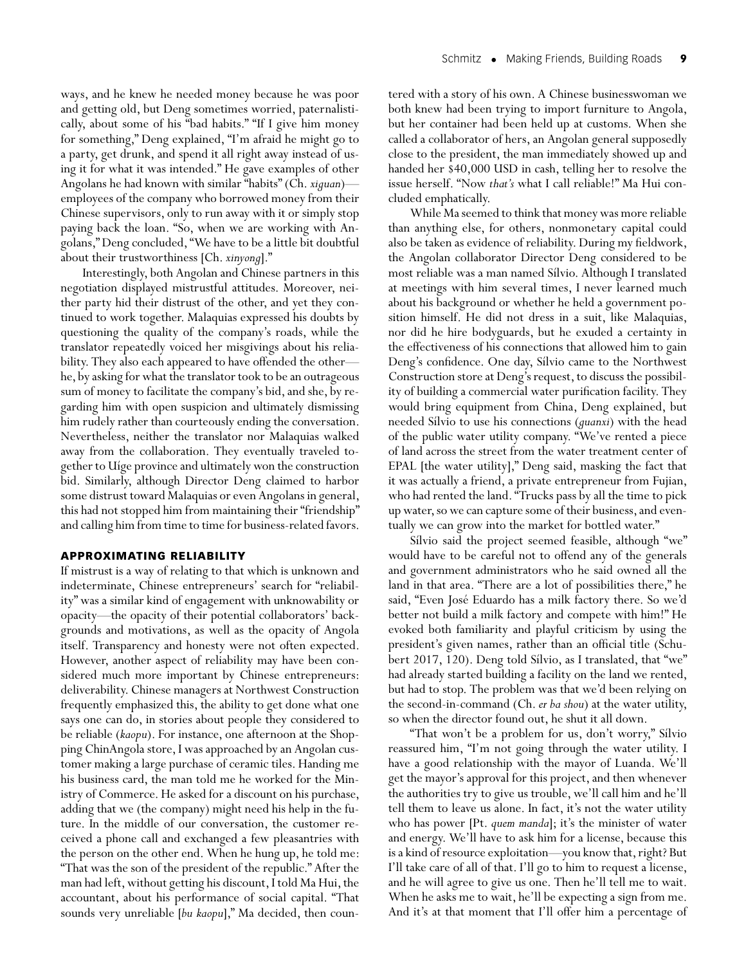ways, and he knew he needed money because he was poor and getting old, but Deng sometimes worried, paternalistically, about some of his "bad habits." "If I give him money for something," Deng explained, "I'm afraid he might go to a party, get drunk, and spend it all right away instead of using it for what it was intended." He gave examples of other Angolans he had known with similar "habits" (Ch.*xiguan*) employees of the company who borrowed money from their Chinese supervisors, only to run away with it or simply stop paying back the loan. "So, when we are working with Angolans," Deng concluded, "We have to be a little bit doubtful about their trustworthiness [Ch. *xinyong*]."

Interestingly, both Angolan and Chinese partners in this negotiation displayed mistrustful attitudes. Moreover, neither party hid their distrust of the other, and yet they continued to work together. Malaquias expressed his doubts by questioning the quality of the company's roads, while the translator repeatedly voiced her misgivings about his reliability. They also each appeared to have offended the other he, by asking for what the translator took to be an outrageous sum of money to facilitate the company's bid, and she, by regarding him with open suspicion and ultimately dismissing him rudely rather than courteously ending the conversation. Nevertheless, neither the translator nor Malaquias walked away from the collaboration. They eventually traveled together to Uíge province and ultimately won the construction bid. Similarly, although Director Deng claimed to harbor some distrust toward Malaquias or even Angolans in general, this had not stopped him from maintaining their "friendship" and calling him from time to time for business-related favors.

#### **APPROXIMATING RELIABILITY**

If mistrust is a way of relating to that which is unknown and indeterminate, Chinese entrepreneurs' search for "reliability" was a similar kind of engagement with unknowability or opacity—the opacity of their potential collaborators' backgrounds and motivations, as well as the opacity of Angola itself. Transparency and honesty were not often expected. However, another aspect of reliability may have been considered much more important by Chinese entrepreneurs: deliverability. Chinese managers at Northwest Construction frequently emphasized this, the ability to get done what one says one can do, in stories about people they considered to be reliable (*kaopu*). For instance, one afternoon at the Shopping ChinAngola store, I was approached by an Angolan customer making a large purchase of ceramic tiles. Handing me his business card, the man told me he worked for the Ministry of Commerce. He asked for a discount on his purchase, adding that we (the company) might need his help in the future. In the middle of our conversation, the customer received a phone call and exchanged a few pleasantries with the person on the other end. When he hung up, he told me: "That was the son of the president of the republic." After the man had left, without getting his discount, I told Ma Hui, the accountant, about his performance of social capital. "That sounds very unreliable [*bu kaopu*]," Ma decided, then countered with a story of his own. A Chinese businesswoman we both knew had been trying to import furniture to Angola, but her container had been held up at customs. When she called a collaborator of hers, an Angolan general supposedly close to the president, the man immediately showed up and handed her \$40,000 USD in cash, telling her to resolve the issue herself. "Now *that's* what I call reliable!" Ma Hui concluded emphatically.

While Ma seemed to think that money was more reliable than anything else, for others, nonmonetary capital could also be taken as evidence of reliability. During my fieldwork, the Angolan collaborator Director Deng considered to be most reliable was a man named Sílvio. Although I translated at meetings with him several times, I never learned much about his background or whether he held a government position himself. He did not dress in a suit, like Malaquias, nor did he hire bodyguards, but he exuded a certainty in the effectiveness of his connections that allowed him to gain Deng's confidence. One day, Sílvio came to the Northwest Construction store at Deng's request, to discuss the possibility of building a commercial water purification facility. They would bring equipment from China, Deng explained, but needed Sílvio to use his connections (*guanxi*) with the head of the public water utility company. "We've rented a piece of land across the street from the water treatment center of EPAL [the water utility]," Deng said, masking the fact that it was actually a friend, a private entrepreneur from Fujian, who had rented the land. "Trucks pass by all the time to pick up water, so we can capture some of their business, and eventually we can grow into the market for bottled water."

Sílvio said the project seemed feasible, although "we" would have to be careful not to offend any of the generals and government administrators who he said owned all the land in that area. "There are a lot of possibilities there," he said, "Even José Eduardo has a milk factory there. So we'd better not build a milk factory and compete with him!" He evoked both familiarity and playful criticism by using the president's given names, rather than an official title (Schubert 2017, 120). Deng told Sílvio, as I translated, that "we" had already started building a facility on the land we rented, but had to stop. The problem was that we'd been relying on the second-in-command (Ch. *er ba shou*) at the water utility, so when the director found out, he shut it all down.

"That won't be a problem for us, don't worry," Sílvio reassured him, "I'm not going through the water utility. I have a good relationship with the mayor of Luanda. We'll get the mayor's approval for this project, and then whenever the authorities try to give us trouble, we'll call him and he'll tell them to leave us alone. In fact, it's not the water utility who has power [Pt. *quem manda*]; it's the minister of water and energy. We'll have to ask him for a license, because this is a kind of resource exploitation—you know that, right? But I'll take care of all of that. I'll go to him to request a license, and he will agree to give us one. Then he'll tell me to wait. When he asks me to wait, he'll be expecting a sign from me. And it's at that moment that I'll offer him a percentage of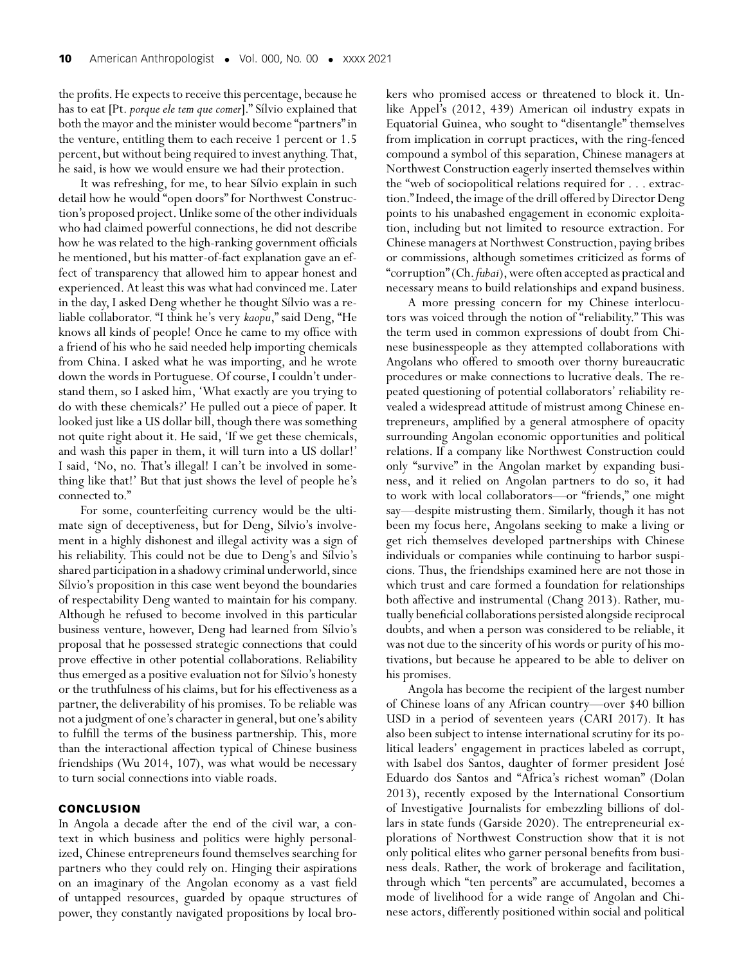the profits.He expects to receive this percentage, because he has to eat [Pt.*porque ele tem que comer*]." Sílvio explained that both the mayor and the minister would become "partners" in the venture, entitling them to each receive 1 percent or 1.5 percent, but without being required to invest anything. That, he said, is how we would ensure we had their protection.

It was refreshing, for me, to hear Sílvio explain in such detail how he would "open doors" for Northwest Construction's proposed project.Unlike some of the other individuals who had claimed powerful connections, he did not describe how he was related to the high-ranking government officials he mentioned, but his matter-of-fact explanation gave an effect of transparency that allowed him to appear honest and experienced. At least this was what had convinced me. Later in the day, I asked Deng whether he thought Sílvio was a reliable collaborator. "I think he's very *kaopu*," said Deng, "He knows all kinds of people! Once he came to my office with a friend of his who he said needed help importing chemicals from China. I asked what he was importing, and he wrote down the words in Portuguese. Of course, I couldn't understand them, so I asked him, 'What exactly are you trying to do with these chemicals?' He pulled out a piece of paper. It looked just like a US dollar bill, though there was something not quite right about it. He said, 'If we get these chemicals, and wash this paper in them, it will turn into a US dollar!' I said, 'No, no. That's illegal! I can't be involved in something like that!' But that just shows the level of people he's connected to."

For some, counterfeiting currency would be the ultimate sign of deceptiveness, but for Deng, Sílvio's involvement in a highly dishonest and illegal activity was a sign of his reliability. This could not be due to Deng's and Sílvio's shared participation in a shadowy criminal underworld, since Sílvio's proposition in this case went beyond the boundaries of respectability Deng wanted to maintain for his company. Although he refused to become involved in this particular business venture, however, Deng had learned from Sílvio's proposal that he possessed strategic connections that could prove effective in other potential collaborations. Reliability thus emerged as a positive evaluation not for Sílvio's honesty or the truthfulness of his claims, but for his effectiveness as a partner, the deliverability of his promises. To be reliable was not a judgment of one's character in general, but one's ability to fulfill the terms of the business partnership. This, more than the interactional affection typical of Chinese business friendships (Wu 2014, 107), was what would be necessary to turn social connections into viable roads.

#### **CONCLUSION**

In Angola a decade after the end of the civil war, a context in which business and politics were highly personalized, Chinese entrepreneurs found themselves searching for partners who they could rely on. Hinging their aspirations on an imaginary of the Angolan economy as a vast field of untapped resources, guarded by opaque structures of power, they constantly navigated propositions by local brokers who promised access or threatened to block it. Unlike Appel's (2012, 439) American oil industry expats in Equatorial Guinea, who sought to "disentangle" themselves from implication in corrupt practices, with the ring-fenced compound a symbol of this separation, Chinese managers at Northwest Construction eagerly inserted themselves within the "web of sociopolitical relations required for . . . extraction." Indeed, the image of the drill offered by Director Deng points to his unabashed engagement in economic exploitation, including but not limited to resource extraction. For Chinese managers at Northwest Construction, paying bribes or commissions, although sometimes criticized as forms of "corruption" (Ch. fubai), were often accepted as practical and necessary means to build relationships and expand business.

A more pressing concern for my Chinese interlocutors was voiced through the notion of "reliability." This was the term used in common expressions of doubt from Chinese businesspeople as they attempted collaborations with Angolans who offered to smooth over thorny bureaucratic procedures or make connections to lucrative deals. The repeated questioning of potential collaborators' reliability revealed a widespread attitude of mistrust among Chinese entrepreneurs, amplified by a general atmosphere of opacity surrounding Angolan economic opportunities and political relations. If a company like Northwest Construction could only "survive" in the Angolan market by expanding business, and it relied on Angolan partners to do so, it had to work with local collaborators—or "friends," one might say—despite mistrusting them. Similarly, though it has not been my focus here, Angolans seeking to make a living or get rich themselves developed partnerships with Chinese individuals or companies while continuing to harbor suspicions. Thus, the friendships examined here are not those in which trust and care formed a foundation for relationships both affective and instrumental (Chang 2013). Rather, mutually beneficial collaborations persisted alongside reciprocal doubts, and when a person was considered to be reliable, it was not due to the sincerity of his words or purity of his motivations, but because he appeared to be able to deliver on his promises.

Angola has become the recipient of the largest number of Chinese loans of any African country—over \$40 billion USD in a period of seventeen years (CARI 2017). It has also been subject to intense international scrutiny for its political leaders' engagement in practices labeled as corrupt, with Isabel dos Santos, daughter of former president José Eduardo dos Santos and "Africa's richest woman" (Dolan 2013), recently exposed by the International Consortium of Investigative Journalists for embezzling billions of dollars in state funds (Garside 2020). The entrepreneurial explorations of Northwest Construction show that it is not only political elites who garner personal benefits from business deals. Rather, the work of brokerage and facilitation, through which "ten percents" are accumulated, becomes a mode of livelihood for a wide range of Angolan and Chinese actors, differently positioned within social and political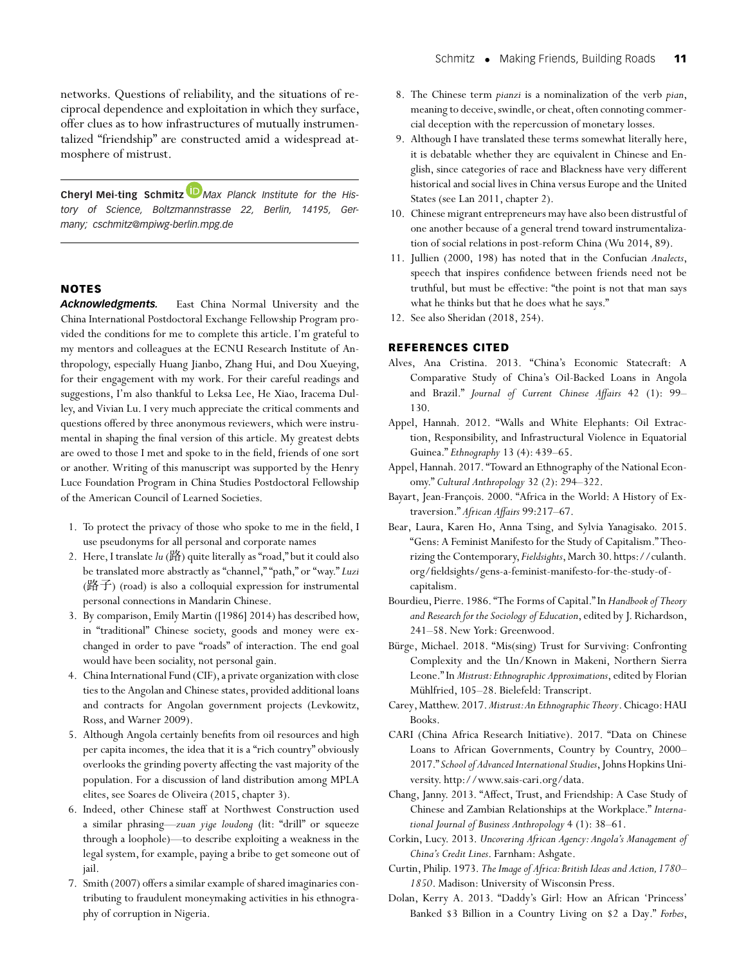**Cheryl Mei-ting Schmitz** *[M](https://orcid.org/0000-0001-5357-4444)ax Planck Institute for the History of Science, Boltzmannstrasse 22, Berlin, 14195, Germany; cschmitz@mpiwg-berlin.mpg.de*

#### **NOTES**

*Acknowledgments.* East China Normal University and the China International Postdoctoral Exchange Fellowship Program provided the conditions for me to complete this article. I'm grateful to my mentors and colleagues at the ECNU Research Institute of Anthropology, especially Huang Jianbo, Zhang Hui, and Dou Xueying, for their engagement with my work. For their careful readings and suggestions, I'm also thankful to Leksa Lee, He Xiao, Iracema Dulley, and Vivian Lu. I very much appreciate the critical comments and questions offered by three anonymous reviewers, which were instrumental in shaping the final version of this article. My greatest debts are owed to those I met and spoke to in the field, friends of one sort or another. Writing of this manuscript was supported by the Henry Luce Foundation Program in China Studies Postdoctoral Fellowship of the American Council of Learned Societies.

- 1. To protect the privacy of those who spoke to me in the field, I use pseudonyms for all personal and corporate names
- 2. Here, I translate *lu* (路) quite literally as "road," but it could also be translated more abstractly as "channel," "path," or "way." *Luzi* (路子) (road) is also a colloquial expression for instrumental personal connections in Mandarin Chinese.
- 3. By comparison, Emily Martin ([1986] 2014) has described how, in "traditional" Chinese society, goods and money were exchanged in order to pave "roads" of interaction. The end goal would have been sociality, not personal gain.
- 4. China International Fund (CIF), a private organization with close ties to the Angolan and Chinese states, provided additional loans and contracts for Angolan government projects (Levkowitz, Ross, and Warner 2009).
- 5. Although Angola certainly benefits from oil resources and high per capita incomes, the idea that it is a "rich country" obviously overlooks the grinding poverty affecting the vast majority of the population. For a discussion of land distribution among MPLA elites, see Soares de Oliveira (2015, chapter 3).
- 6. Indeed, other Chinese staff at Northwest Construction used a similar phrasing—*zuan yige loudong* (lit: "drill" or squeeze through a loophole)—to describe exploiting a weakness in the legal system, for example, paying a bribe to get someone out of jail.
- 7. Smith (2007) offers a similar example of shared imaginaries contributing to fraudulent moneymaking activities in his ethnography of corruption in Nigeria.
- 8. The Chinese term *pianzi* is a nominalization of the verb *pian*, meaning to deceive, swindle, or cheat, often connoting commercial deception with the repercussion of monetary losses.
- 9. Although I have translated these terms somewhat literally here, it is debatable whether they are equivalent in Chinese and English, since categories of race and Blackness have very different historical and social lives in China versus Europe and the United States (see Lan 2011, chapter 2).
- 10. Chinese migrant entrepreneurs may have also been distrustful of one another because of a general trend toward instrumentalization of social relations in post-reform China (Wu 2014, 89).
- 11. Jullien (2000, 198) has noted that in the Confucian *Analects*, speech that inspires confidence between friends need not be truthful, but must be effective: "the point is not that man says what he thinks but that he does what he says."
- 12. See also Sheridan (2018, 254).

#### **REFERENCES CITED**

- Alves, Ana Cristina. 2013. "China's Economic Statecraft: A Comparative Study of China's Oil-Backed Loans in Angola and Brazil." *Journal of Current Chinese Affairs* 42 (1): 99– 130.
- Appel, Hannah. 2012. "Walls and White Elephants: Oil Extraction, Responsibility, and Infrastructural Violence in Equatorial Guinea." *Ethnography* 13 (4): 439–65.
- Appel, Hannah. 2017. "Toward an Ethnography of the National Economy." *Cultural Anthropology* 32 (2): 294–322.
- Bayart, Jean-François. 2000. "Africa in the World: A History of Extraversion." *African Affairs* 99:217–67.
- Bear, Laura, Karen Ho, Anna Tsing, and Sylvia Yanagisako. 2015. "Gens: A Feminist Manifesto for the Study of Capitalism." Theorizing the Contemporary, Fieldsights, March 30. [https://culanth.](https://culanth.org/fieldsights/gens-a-feminist-manifesto-for-the-study-of-capitalism) [org/fieldsights/gens-a-feminist-manifesto-for-the-study-of](https://culanth.org/fieldsights/gens-a-feminist-manifesto-for-the-study-of-capitalism)[capitalism.](https://culanth.org/fieldsights/gens-a-feminist-manifesto-for-the-study-of-capitalism)
- Bourdieu, Pierre. 1986. "The Forms of Capital." In *Handbook of Theory and Research for the Sociology of Education*, edited by J. Richardson, 241–58. New York: Greenwood.
- Bürge, Michael. 2018. "Mis(sing) Trust for Surviving: Confronting Complexity and the Un/Known in Makeni, Northern Sierra Leone." In *Mistrust:Ethnographic Approximations*, edited by Florian Mühlfried, 105–28. Bielefeld: Transcript.
- Carey,Matthew. 2017.*Mistrust:An Ethnographic Theory*. Chicago:HAU Books.
- CARI (China Africa Research Initiative). 2017. "Data on Chinese Loans to African Governments, Country by Country, 2000– 2017." *School of Advanced International Studies*, Johns Hopkins University. [http://www.sais-cari.org/data.](http://www.sais-cari.org/data)
- Chang, Janny. 2013. "Affect, Trust, and Friendship: A Case Study of Chinese and Zambian Relationships at the Workplace." *International Journal of Business Anthropology* 4 (1): 38–61.
- Corkin, Lucy. 2013. *Uncovering African Agency: Angola's Management of China's Credit Lines*. Farnham: Ashgate.
- Curtin, Philip. 1973. *The Image of Africa:British Ideas and Action,1780– 1850*. Madison: University of Wisconsin Press.
- Dolan, Kerry A. 2013. "Daddy's Girl: How an African 'Princess' Banked \$3 Billion in a Country Living on \$2 a Day." *Forbes*,